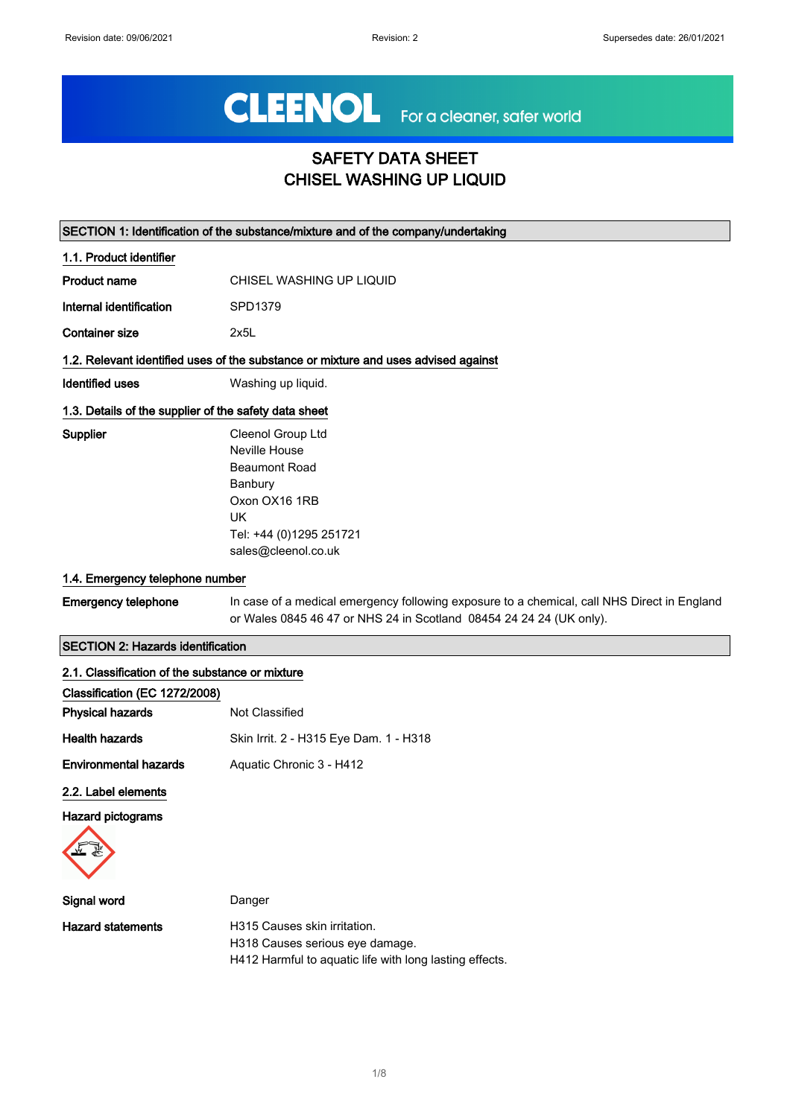# CLEENOL For a cleaner, safer world

## SAFETY DATA SHEET CHISEL WASHING UP LIQUID

| SECTION 1: Identification of the substance/mixture and of the company/undertaking |                                                                                                                                                                    |  |
|-----------------------------------------------------------------------------------|--------------------------------------------------------------------------------------------------------------------------------------------------------------------|--|
| 1.1. Product identifier                                                           |                                                                                                                                                                    |  |
| <b>Product name</b>                                                               | CHISEL WASHING UP LIQUID                                                                                                                                           |  |
| Internal identification                                                           | SPD1379                                                                                                                                                            |  |
| <b>Container size</b>                                                             | 2x5L                                                                                                                                                               |  |
|                                                                                   | 1.2. Relevant identified uses of the substance or mixture and uses advised against                                                                                 |  |
| Identified uses                                                                   | Washing up liquid.                                                                                                                                                 |  |
| 1.3. Details of the supplier of the safety data sheet                             |                                                                                                                                                                    |  |
| Supplier                                                                          | Cleenol Group Ltd                                                                                                                                                  |  |
|                                                                                   | Neville House                                                                                                                                                      |  |
|                                                                                   | <b>Beaumont Road</b>                                                                                                                                               |  |
|                                                                                   | Banbury                                                                                                                                                            |  |
|                                                                                   | Oxon OX16 1RB                                                                                                                                                      |  |
|                                                                                   | <b>UK</b>                                                                                                                                                          |  |
|                                                                                   | Tel: +44 (0)1295 251721                                                                                                                                            |  |
|                                                                                   | sales@cleenol.co.uk                                                                                                                                                |  |
| 1.4. Emergency telephone number                                                   |                                                                                                                                                                    |  |
| <b>Emergency telephone</b>                                                        | In case of a medical emergency following exposure to a chemical, call NHS Direct in England<br>or Wales 0845 46 47 or NHS 24 in Scotland 08454 24 24 24 (UK only). |  |
| <b>SECTION 2: Hazards identification</b>                                          |                                                                                                                                                                    |  |
| 2.1. Classification of the substance or mixture                                   |                                                                                                                                                                    |  |
| Classification (EC 1272/2008)                                                     |                                                                                                                                                                    |  |
| <b>Physical hazards</b>                                                           | Not Classified                                                                                                                                                     |  |
| <b>Health hazards</b>                                                             | Skin Irrit. 2 - H315 Eye Dam. 1 - H318                                                                                                                             |  |
| <b>Environmental hazards</b>                                                      | Aquatic Chronic 3 - H412                                                                                                                                           |  |
|                                                                                   |                                                                                                                                                                    |  |

2.2. Label elements

Hazard pictograms



| Signal word       | Danger                                                  |
|-------------------|---------------------------------------------------------|
| Hazard statements | H315 Causes skin irritation.                            |
|                   | H318 Causes serious eye damage.                         |
|                   | H412 Harmful to aguatic life with long lasting effects. |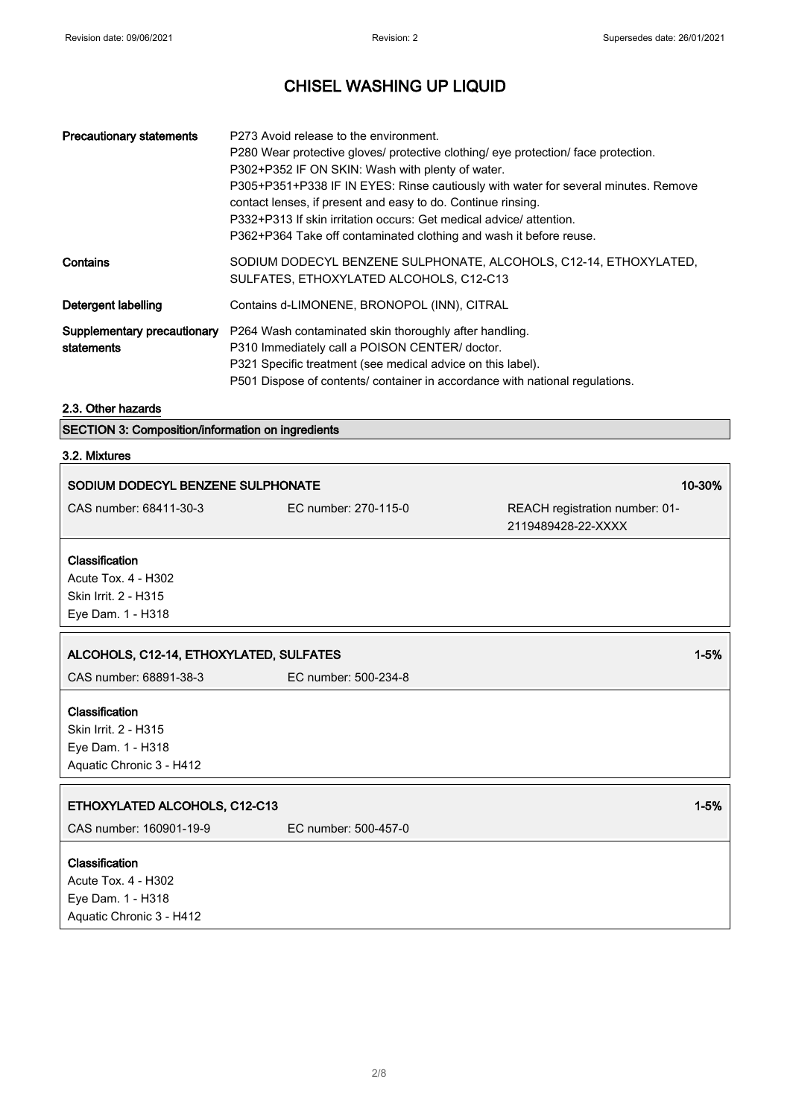| <b>Precautionary statements</b>           | P273 Avoid release to the environment.<br>P280 Wear protective gloves/ protective clothing/ eye protection/ face protection.<br>P302+P352 IF ON SKIN: Wash with plenty of water.<br>P305+P351+P338 IF IN EYES: Rinse cautiously with water for several minutes. Remove<br>contact lenses, if present and easy to do. Continue rinsing.<br>P332+P313 If skin irritation occurs: Get medical advice/ attention.<br>P362+P364 Take off contaminated clothing and wash it before reuse. |
|-------------------------------------------|-------------------------------------------------------------------------------------------------------------------------------------------------------------------------------------------------------------------------------------------------------------------------------------------------------------------------------------------------------------------------------------------------------------------------------------------------------------------------------------|
| Contains                                  | SODIUM DODECYL BENZENE SULPHONATE, ALCOHOLS, C12-14, ETHOXYLATED,<br>SULFATES, ETHOXYLATED ALCOHOLS, C12-C13                                                                                                                                                                                                                                                                                                                                                                        |
| Detergent labelling                       | Contains d-LIMONENE, BRONOPOL (INN), CITRAL                                                                                                                                                                                                                                                                                                                                                                                                                                         |
| Supplementary precautionary<br>statements | P264 Wash contaminated skin thoroughly after handling.<br>P310 Immediately call a POISON CENTER/ doctor.<br>P321 Specific treatment (see medical advice on this label).<br>P501 Dispose of contents/ container in accordance with national regulations.                                                                                                                                                                                                                             |

#### 2.3. Other hazards

SECTION 3: Composition/information on ingredients

#### 3.2. Mixtures

 $\overline{\phantom{a}}$ 

| SODIUM DODECYL BENZENE SULPHONATE       |                      | 10-30%                         |
|-----------------------------------------|----------------------|--------------------------------|
| CAS number: 68411-30-3                  | EC number: 270-115-0 | REACH registration number: 01- |
|                                         |                      | 2119489428-22-XXXX             |
| Classification                          |                      |                                |
| Acute Tox. 4 - H302                     |                      |                                |
| Skin Irrit. 2 - H315                    |                      |                                |
| Eye Dam. 1 - H318                       |                      |                                |
|                                         |                      |                                |
| ALCOHOLS, C12-14, ETHOXYLATED, SULFATES |                      | $1 - 5%$                       |
| CAS number: 68891-38-3                  | EC number: 500-234-8 |                                |
| Classification                          |                      |                                |
| Skin Irrit. 2 - H315                    |                      |                                |
| Eye Dam. 1 - H318                       |                      |                                |
| Aquatic Chronic 3 - H412                |                      |                                |
|                                         |                      |                                |
| ETHOXYLATED ALCOHOLS, C12-C13           |                      | $1 - 5%$                       |
| CAS number: 160901-19-9                 | EC number: 500-457-0 |                                |
| Classification                          |                      |                                |
| Acute Tox. 4 - H302                     |                      |                                |
| Eye Dam. 1 - H318                       |                      |                                |
| Aquatic Chronic 3 - H412                |                      |                                |
|                                         |                      |                                |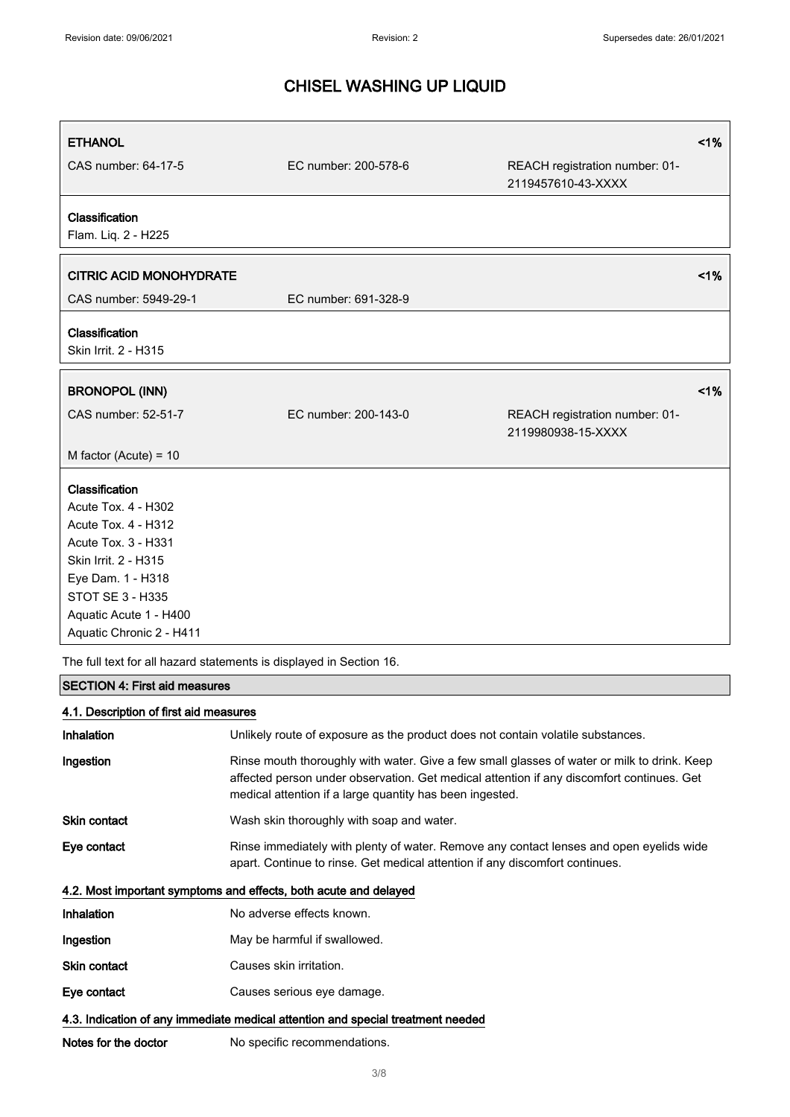| <b>ETHANOL</b>                               |                      |                                                      | 1% |
|----------------------------------------------|----------------------|------------------------------------------------------|----|
| CAS number: 64-17-5                          | EC number: 200-578-6 | REACH registration number: 01-<br>2119457610-43-XXXX |    |
| Classification<br>Flam. Liq. 2 - H225        |                      |                                                      |    |
| <b>CITRIC ACID MONOHYDRATE</b>               |                      |                                                      | 1% |
| CAS number: 5949-29-1                        | EC number: 691-328-9 |                                                      |    |
| Classification<br>Skin Irrit. 2 - H315       |                      |                                                      |    |
| <b>BRONOPOL (INN)</b>                        |                      |                                                      | 1% |
| CAS number: 52-51-7                          | EC number: 200-143-0 | REACH registration number: 01-<br>2119980938-15-XXXX |    |
| M factor (Acute) = $10$                      |                      |                                                      |    |
| Classification                               |                      |                                                      |    |
| Acute Tox. 4 - H302                          |                      |                                                      |    |
| Acute Tox. 4 - H312                          |                      |                                                      |    |
| Acute Tox. 3 - H331                          |                      |                                                      |    |
| Skin Irrit. 2 - H315                         |                      |                                                      |    |
| Eye Dam. 1 - H318<br><b>STOT SE 3 - H335</b> |                      |                                                      |    |
| Aquatic Acute 1 - H400                       |                      |                                                      |    |
| Aquatic Chronic 2 - H411                     |                      |                                                      |    |

The full text for all hazard statements is displayed in Section 16.

## SECTION 4: First aid measures

## 4.1. Description of first aid measures

| <b>Inhalation</b>                                                               | Unlikely route of exposure as the product does not contain volatile substances.                                                                                                                                                                      |  |
|---------------------------------------------------------------------------------|------------------------------------------------------------------------------------------------------------------------------------------------------------------------------------------------------------------------------------------------------|--|
| Ingestion                                                                       | Rinse mouth thoroughly with water. Give a few small glasses of water or milk to drink. Keep<br>affected person under observation. Get medical attention if any discomfort continues. Get<br>medical attention if a large quantity has been ingested. |  |
| Skin contact                                                                    | Wash skin thoroughly with soap and water.                                                                                                                                                                                                            |  |
| Eye contact                                                                     | Rinse immediately with plenty of water. Remove any contact lenses and open eyelids wide<br>apart. Continue to rinse. Get medical attention if any discomfort continues.                                                                              |  |
| 4.2. Most important symptoms and effects, both acute and delayed                |                                                                                                                                                                                                                                                      |  |
| Inhalation                                                                      | No adverse effects known.                                                                                                                                                                                                                            |  |
| Ingestion                                                                       | May be harmful if swallowed.                                                                                                                                                                                                                         |  |
| <b>Skin contact</b>                                                             | Causes skin irritation.                                                                                                                                                                                                                              |  |
| Eye contact                                                                     | Causes serious eye damage.                                                                                                                                                                                                                           |  |
| 4.3. Indication of any immediate medical attention and special treatment needed |                                                                                                                                                                                                                                                      |  |
| Notes for the doctor                                                            | No specific recommendations.                                                                                                                                                                                                                         |  |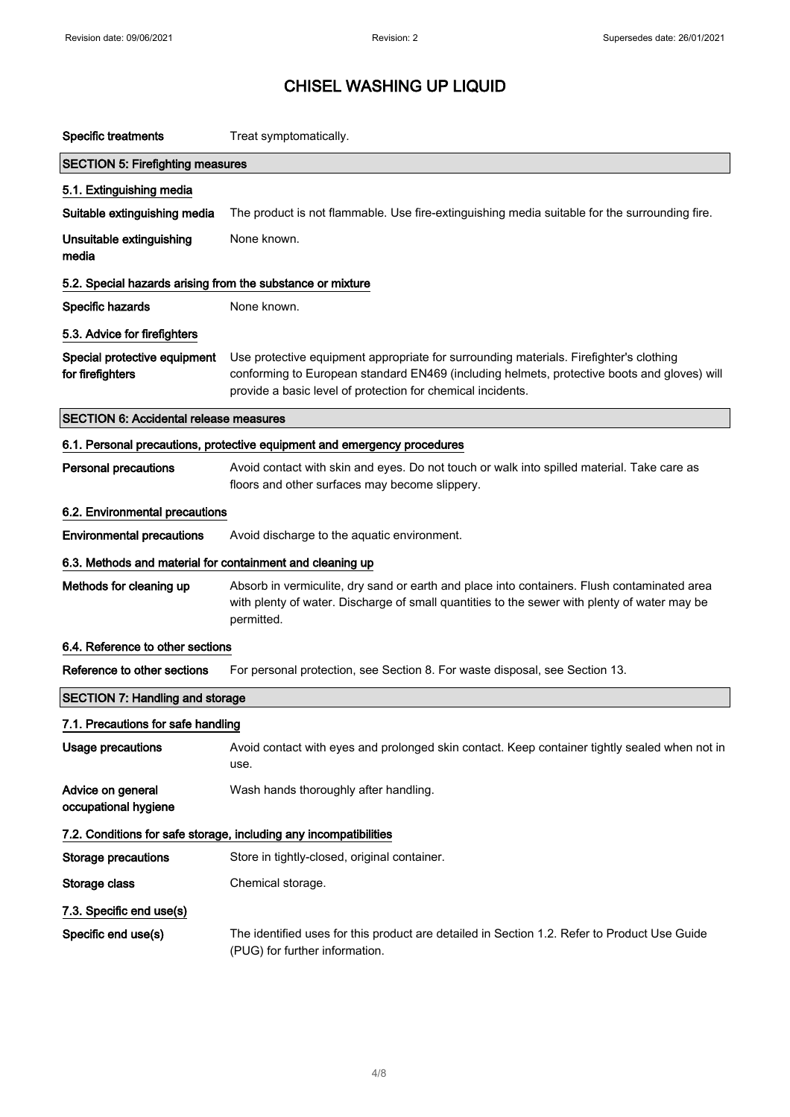| <b>Specific treatments</b>                                               | Treat symptomatically.                                                                                                                                                                                                                               |  |
|--------------------------------------------------------------------------|------------------------------------------------------------------------------------------------------------------------------------------------------------------------------------------------------------------------------------------------------|--|
| <b>SECTION 5: Firefighting measures</b>                                  |                                                                                                                                                                                                                                                      |  |
| 5.1. Extinguishing media                                                 |                                                                                                                                                                                                                                                      |  |
| Suitable extinguishing media                                             | The product is not flammable. Use fire-extinguishing media suitable for the surrounding fire.                                                                                                                                                        |  |
| Unsuitable extinguishing<br>media                                        | None known.                                                                                                                                                                                                                                          |  |
| 5.2. Special hazards arising from the substance or mixture               |                                                                                                                                                                                                                                                      |  |
| Specific hazards                                                         | None known.                                                                                                                                                                                                                                          |  |
| 5.3. Advice for firefighters                                             |                                                                                                                                                                                                                                                      |  |
| Special protective equipment<br>for firefighters                         | Use protective equipment appropriate for surrounding materials. Firefighter's clothing<br>conforming to European standard EN469 (including helmets, protective boots and gloves) will<br>provide a basic level of protection for chemical incidents. |  |
| <b>SECTION 6: Accidental release measures</b>                            |                                                                                                                                                                                                                                                      |  |
| 6.1. Personal precautions, protective equipment and emergency procedures |                                                                                                                                                                                                                                                      |  |
| <b>Personal precautions</b>                                              | Avoid contact with skin and eyes. Do not touch or walk into spilled material. Take care as<br>floors and other surfaces may become slippery.                                                                                                         |  |
| 6.2. Environmental precautions                                           |                                                                                                                                                                                                                                                      |  |
| <b>Environmental precautions</b>                                         | Avoid discharge to the aquatic environment.                                                                                                                                                                                                          |  |
| 6.3. Methods and material for containment and cleaning up                |                                                                                                                                                                                                                                                      |  |
| Methods for cleaning up                                                  | Absorb in vermiculite, dry sand or earth and place into containers. Flush contaminated area<br>with plenty of water. Discharge of small quantities to the sewer with plenty of water may be<br>permitted.                                            |  |
| 6.4. Reference to other sections                                         |                                                                                                                                                                                                                                                      |  |
| Reference to other sections                                              | For personal protection, see Section 8. For waste disposal, see Section 13.                                                                                                                                                                          |  |
| <b>SECTION 7: Handling and storage</b>                                   |                                                                                                                                                                                                                                                      |  |
| 7.1. Precautions for safe handling                                       |                                                                                                                                                                                                                                                      |  |
| <b>Usage precautions</b>                                                 | Avoid contact with eyes and prolonged skin contact. Keep container tightly sealed when not in<br>use.                                                                                                                                                |  |
| Advice on general<br>occupational hygiene                                | Wash hands thoroughly after handling.                                                                                                                                                                                                                |  |
|                                                                          | 7.2. Conditions for safe storage, including any incompatibilities                                                                                                                                                                                    |  |
| <b>Storage precautions</b>                                               | Store in tightly-closed, original container.                                                                                                                                                                                                         |  |
| Storage class                                                            | Chemical storage.                                                                                                                                                                                                                                    |  |
| 7.3. Specific end use(s)                                                 |                                                                                                                                                                                                                                                      |  |
| Specific end use(s)                                                      | The identified uses for this product are detailed in Section 1.2. Refer to Product Use Guide<br>(PUG) for further information.                                                                                                                       |  |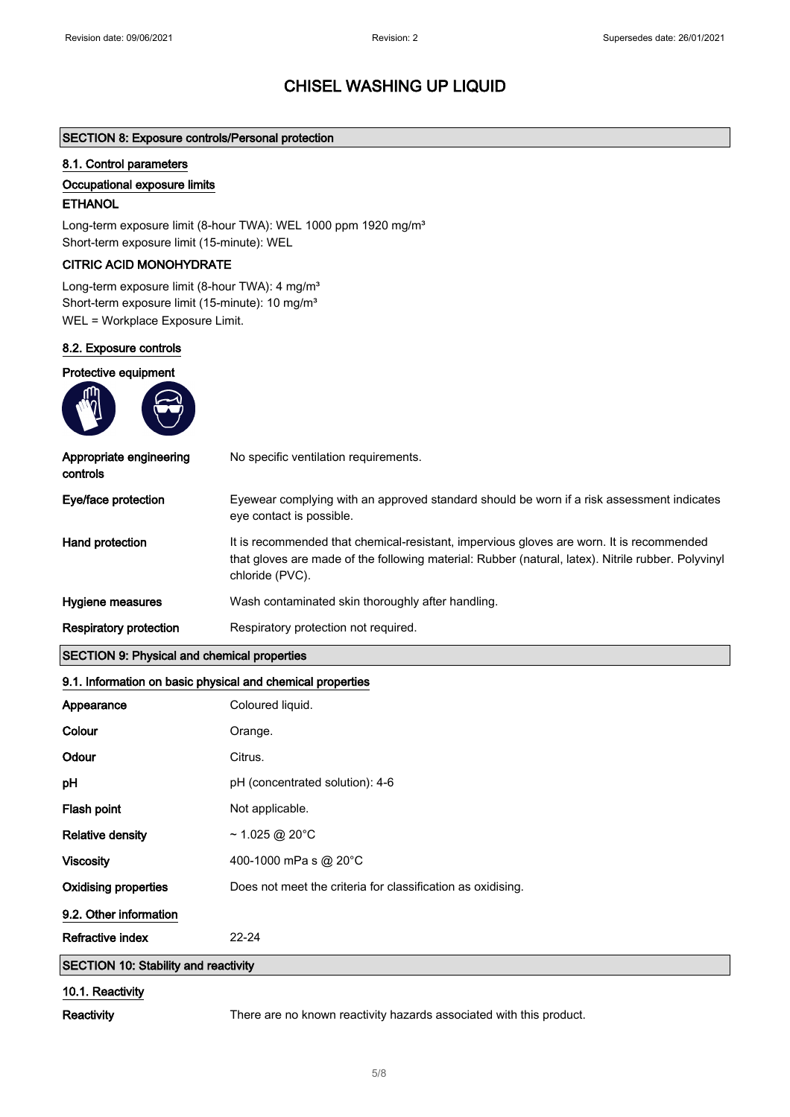#### SECTION 8: Exposure controls/Personal protection

#### 8.1. Control parameters

#### Occupational exposure limits

#### **ETHANOL**

Long-term exposure limit (8-hour TWA): WEL 1000 ppm 1920 mg/m<sup>3</sup> Short-term exposure limit (15-minute): WEL

#### CITRIC ACID MONOHYDRATE

Long-term exposure limit (8-hour TWA): 4 mg/m<sup>3</sup> Short-term exposure limit (15-minute): 10 mg/m<sup>3</sup> WEL = Workplace Exposure Limit.

#### 8.2. Exposure controls

Protective equipment

| <b>SECTION 9: Physical and chemical properties</b> |                                                                                                                                                                                                                   |
|----------------------------------------------------|-------------------------------------------------------------------------------------------------------------------------------------------------------------------------------------------------------------------|
| Respiratory protection                             | Respiratory protection not required.                                                                                                                                                                              |
| Hygiene measures                                   | Wash contaminated skin thoroughly after handling.                                                                                                                                                                 |
| Hand protection                                    | It is recommended that chemical-resistant, impervious gloves are worn. It is recommended<br>that gloves are made of the following material: Rubber (natural, latex). Nitrile rubber. Polyvinyl<br>chloride (PVC). |
| Eye/face protection                                | Eyewear complying with an approved standard should be worn if a risk assessment indicates<br>eye contact is possible.                                                                                             |
| Appropriate engineering<br>controls                | No specific ventilation requirements.                                                                                                                                                                             |
|                                                    |                                                                                                                                                                                                                   |

## 9.1. Information on basic physical and chemical properties

| Appearance                                  | Coloured liquid.                                            |
|---------------------------------------------|-------------------------------------------------------------|
|                                             |                                                             |
| Colour                                      | Orange.                                                     |
| Odour                                       | Citrus.                                                     |
| рH                                          | pH (concentrated solution): 4-6                             |
| Flash point                                 | Not applicable.                                             |
| <b>Relative density</b>                     | ~1.025 @ 20°C                                               |
| <b>Viscosity</b>                            | 400-1000 mPa s @ 20°C                                       |
| <b>Oxidising properties</b>                 | Does not meet the criteria for classification as oxidising. |
| 9.2. Other information                      |                                                             |
| Refractive index                            | $22 - 24$                                                   |
| <b>SECTION 10: Stability and reactivity</b> |                                                             |

#### 10.1. Reactivity

Reactivity There are no known reactivity hazards associated with this product.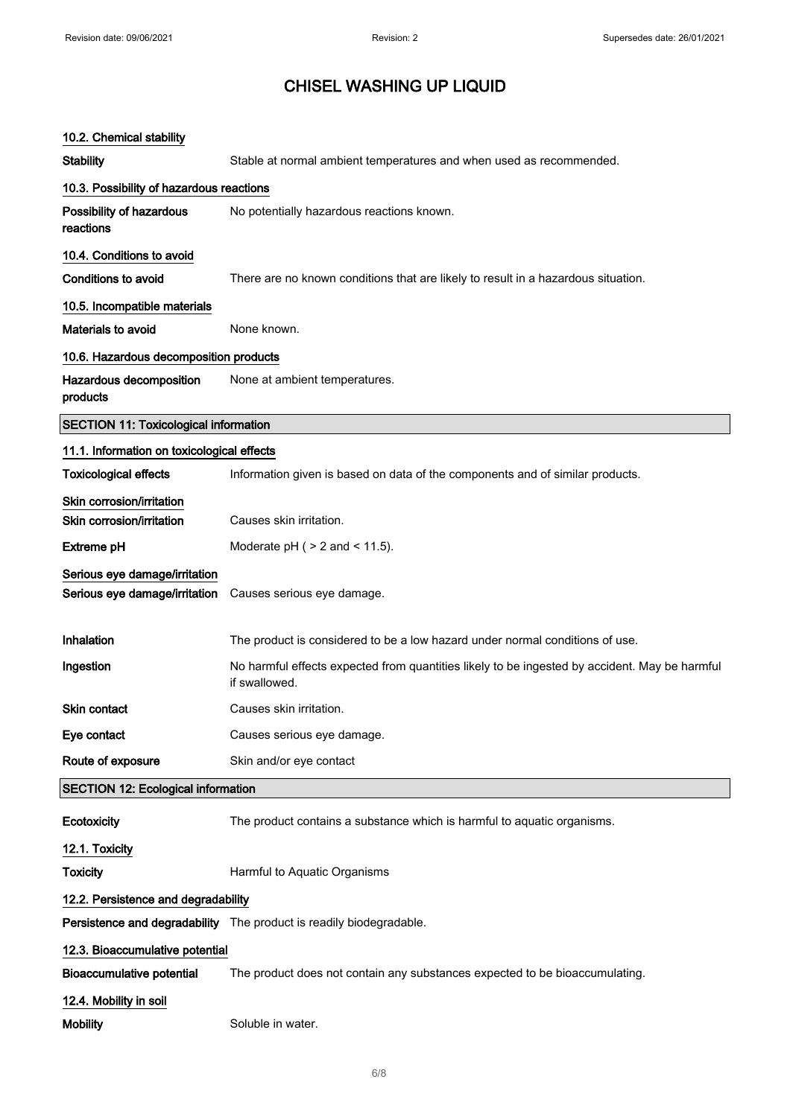| 10.2. Chemical stability                     |                                                                                                                |
|----------------------------------------------|----------------------------------------------------------------------------------------------------------------|
| Stability                                    | Stable at normal ambient temperatures and when used as recommended.                                            |
| 10.3. Possibility of hazardous reactions     |                                                                                                                |
| Possibility of hazardous<br>reactions        | No potentially hazardous reactions known.                                                                      |
| 10.4. Conditions to avoid                    |                                                                                                                |
| <b>Conditions to avoid</b>                   | There are no known conditions that are likely to result in a hazardous situation.                              |
| 10.5. Incompatible materials                 |                                                                                                                |
| Materials to avoid                           | None known.                                                                                                    |
| 10.6. Hazardous decomposition products       |                                                                                                                |
| Hazardous decomposition<br>products          | None at ambient temperatures.                                                                                  |
| <b>SECTION 11: Toxicological information</b> |                                                                                                                |
| 11.1. Information on toxicological effects   |                                                                                                                |
| <b>Toxicological effects</b>                 | Information given is based on data of the components and of similar products.                                  |
| Skin corrosion/irritation                    |                                                                                                                |
| Skin corrosion/irritation                    | Causes skin irritation.                                                                                        |
| Extreme pH                                   | Moderate $pH$ ( $> 2$ and $< 11.5$ ).                                                                          |
| Serious eye damage/irritation                |                                                                                                                |
| Serious eye damage/irritation                | Causes serious eye damage.                                                                                     |
| Inhalation                                   | The product is considered to be a low hazard under normal conditions of use.                                   |
| Ingestion                                    | No harmful effects expected from quantities likely to be ingested by accident. May be harmful<br>if swallowed. |
| Skin contact                                 | Causes skin irritation.                                                                                        |
| Eye contact                                  | Causes serious eye damage.                                                                                     |
| Route of exposure                            | Skin and/or eye contact                                                                                        |
| <b>SECTION 12: Ecological information</b>    |                                                                                                                |
| Ecotoxicity                                  | The product contains a substance which is harmful to aquatic organisms.                                        |
| 12.1. Toxicity                               |                                                                                                                |
| <b>Toxicity</b>                              | Harmful to Aquatic Organisms                                                                                   |
| 12.2. Persistence and degradability          |                                                                                                                |
|                                              | Persistence and degradability The product is readily biodegradable.                                            |
| 12.3. Bioaccumulative potential              |                                                                                                                |
| <b>Bioaccumulative potential</b>             | The product does not contain any substances expected to be bioaccumulating.                                    |
| 12.4. Mobility in soil                       |                                                                                                                |
| <b>Mobility</b>                              | Soluble in water.                                                                                              |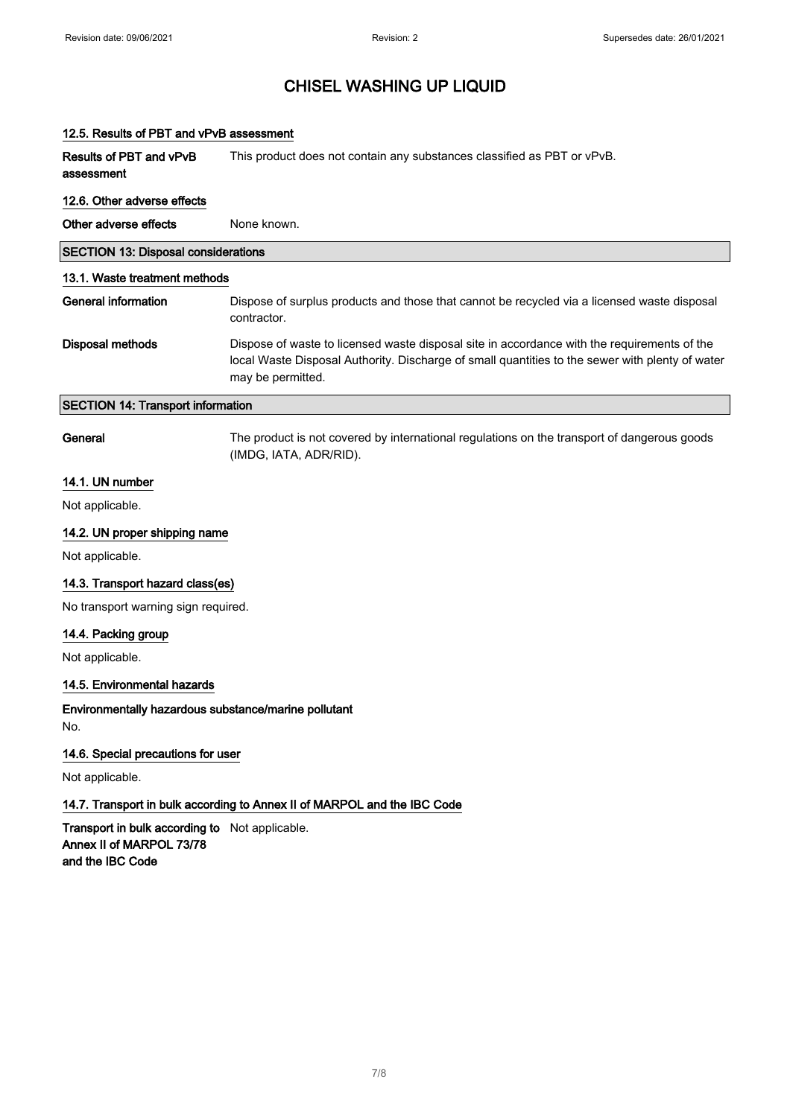| 12.5. Results of PBT and vPvB assessment                                                       |                                                                                                                                                                                                                     |
|------------------------------------------------------------------------------------------------|---------------------------------------------------------------------------------------------------------------------------------------------------------------------------------------------------------------------|
| Results of PBT and vPvB<br>assessment                                                          | This product does not contain any substances classified as PBT or vPvB.                                                                                                                                             |
| 12.6. Other adverse effects                                                                    |                                                                                                                                                                                                                     |
| Other adverse effects                                                                          | None known.                                                                                                                                                                                                         |
| <b>SECTION 13: Disposal considerations</b>                                                     |                                                                                                                                                                                                                     |
| 13.1. Waste treatment methods                                                                  |                                                                                                                                                                                                                     |
| <b>General information</b>                                                                     | Dispose of surplus products and those that cannot be recycled via a licensed waste disposal<br>contractor.                                                                                                          |
| <b>Disposal methods</b>                                                                        | Dispose of waste to licensed waste disposal site in accordance with the requirements of the<br>local Waste Disposal Authority. Discharge of small quantities to the sewer with plenty of water<br>may be permitted. |
| <b>SECTION 14: Transport information</b>                                                       |                                                                                                                                                                                                                     |
| General                                                                                        | The product is not covered by international regulations on the transport of dangerous goods<br>(IMDG, IATA, ADR/RID).                                                                                               |
| 14.1. UN number                                                                                |                                                                                                                                                                                                                     |
| Not applicable.                                                                                |                                                                                                                                                                                                                     |
| 14.2. UN proper shipping name                                                                  |                                                                                                                                                                                                                     |
| Not applicable.                                                                                |                                                                                                                                                                                                                     |
| 14.3. Transport hazard class(es)                                                               |                                                                                                                                                                                                                     |
| No transport warning sign required.                                                            |                                                                                                                                                                                                                     |
| 14.4. Packing group                                                                            |                                                                                                                                                                                                                     |
| Not applicable.                                                                                |                                                                                                                                                                                                                     |
| 14.5. Environmental hazards                                                                    |                                                                                                                                                                                                                     |
| Environmentally hazardous substance/marine pollutant<br>No.                                    |                                                                                                                                                                                                                     |
| 14.6. Special precautions for user                                                             |                                                                                                                                                                                                                     |
| Not applicable.                                                                                |                                                                                                                                                                                                                     |
|                                                                                                | 14.7. Transport in bulk according to Annex II of MARPOL and the IBC Code                                                                                                                                            |
| Transport in bulk according to Not applicable.<br>Annex II of MARPOL 73/78<br>and the IBC Code |                                                                                                                                                                                                                     |
|                                                                                                |                                                                                                                                                                                                                     |
|                                                                                                |                                                                                                                                                                                                                     |